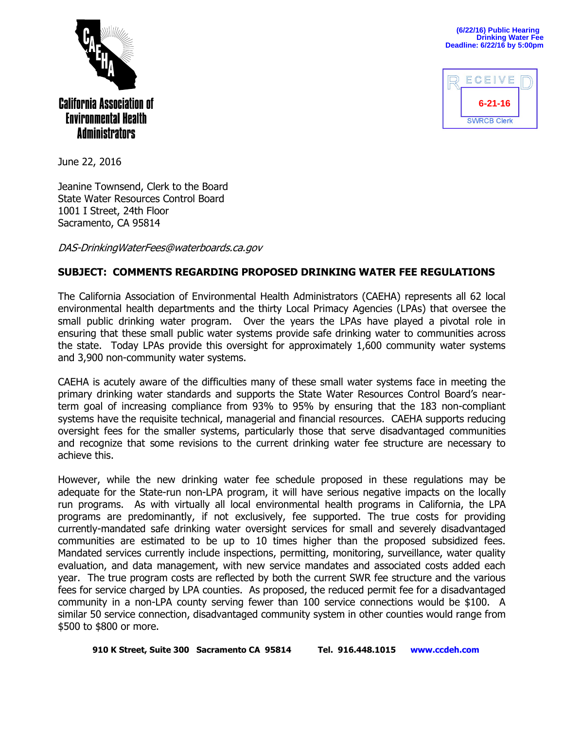

**(6/22/16) Public Hearing Drinking Water Fee Deadline: 6/22/16 by 5:00pm**



June 22, 2016

Jeanine Townsend, Clerk to the Board State Water Resources Control Board 1001 I Street, 24th Floor Sacramento, CA 95814

DAS-DrinkingWaterFees@waterboards.ca.gov

## **SUBJECT: COMMENTS REGARDING PROPOSED DRINKING WATER FEE REGULATIONS**

The California Association of Environmental Health Administrators (CAEHA) represents all 62 local environmental health departments and the thirty Local Primacy Agencies (LPAs) that oversee the small public drinking water program. Over the years the LPAs have played a pivotal role in ensuring that these small public water systems provide safe drinking water to communities across the state. Today LPAs provide this oversight for approximately 1,600 community water systems and 3,900 non-community water systems.

CAEHA is acutely aware of the difficulties many of these small water systems face in meeting the primary drinking water standards and supports the State Water Resources Control Board's nearterm goal of increasing compliance from 93% to 95% by ensuring that the 183 non-compliant systems have the requisite technical, managerial and financial resources. CAEHA supports reducing oversight fees for the smaller systems, particularly those that serve disadvantaged communities and recognize that some revisions to the current drinking water fee structure are necessary to achieve this.

However, while the new drinking water fee schedule proposed in these regulations may be adequate for the State-run non-LPA program, it will have serious negative impacts on the locally run programs. As with virtually all local environmental health programs in California, the LPA programs are predominantly, if not exclusively, fee supported. The true costs for providing currently-mandated safe drinking water oversight services for small and severely disadvantaged communities are estimated to be up to 10 times higher than the proposed subsidized fees. Mandated services currently include inspections, permitting, monitoring, surveillance, water quality evaluation, and data management, with new service mandates and associated costs added each year. The true program costs are reflected by both the current SWR fee structure and the various fees for service charged by LPA counties. As proposed, the reduced permit fee for a disadvantaged community in a non-LPA county serving fewer than 100 service connections would be \$100. A similar 50 service connection, disadvantaged community system in other counties would range from \$500 to \$800 or more.

**910 K Street, Suite 300 Sacramento CA 95814 Tel. 916.448.1015 [www.ccdeh.com](http://www.ccdeh.com/)**